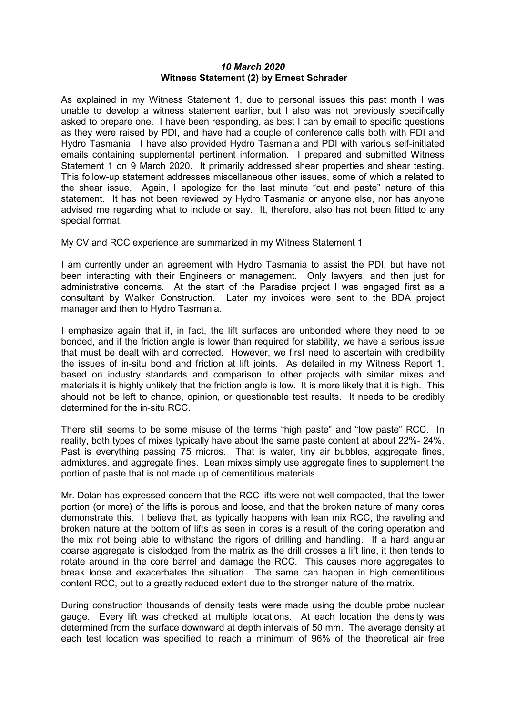## *10 March 2020* **Witness Statement (2) by Ernest Schrader**

As explained in my Witness Statement 1, due to personal issues this past month I was unable to develop a witness statement earlier, but I also was not previously specifically asked to prepare one. I have been responding, as best I can by email to specific questions as they were raised by PDI, and have had a couple of conference calls both with PDI and Hydro Tasmania. I have also provided Hydro Tasmania and PDI with various self-initiated emails containing supplemental pertinent information. I prepared and submitted Witness Statement 1 on 9 March 2020. It primarily addressed shear properties and shear testing. This follow-up statement addresses miscellaneous other issues, some of which a related to the shear issue. Again, I apologize for the last minute "cut and paste" nature of this statement. It has not been reviewed by Hydro Tasmania or anyone else, nor has anyone advised me regarding what to include or say. It, therefore, also has not been fitted to any special format.

My CV and RCC experience are summarized in my Witness Statement 1.

I am currently under an agreement with Hydro Tasmania to assist the PDI, but have not been interacting with their Engineers or management. Only lawyers, and then just for administrative concerns. At the start of the Paradise project I was engaged first as a consultant by Walker Construction. Later my invoices were sent to the BDA project manager and then to Hydro Tasmania.

I emphasize again that if, in fact, the lift surfaces are unbonded where they need to be bonded, and if the friction angle is lower than required for stability, we have a serious issue that must be dealt with and corrected. However, we first need to ascertain with credibility the issues of in-situ bond and friction at lift joints. As detailed in my Witness Report 1, based on industry standards and comparison to other projects with similar mixes and materials it is highly unlikely that the friction angle is low. It is more likely that it is high. This should not be left to chance, opinion, or questionable test results. It needs to be credibly determined for the in-situ RCC.

There still seems to be some misuse of the terms "high paste" and "low paste" RCC. In reality, both types of mixes typically have about the same paste content at about 22%- 24%. Past is everything passing 75 micros. That is water, tiny air bubbles, aggregate fines, admixtures, and aggregate fines. Lean mixes simply use aggregate fines to supplement the portion of paste that is not made up of cementitious materials.

Mr. Dolan has expressed concern that the RCC lifts were not well compacted, that the lower portion (or more) of the lifts is porous and loose, and that the broken nature of many cores demonstrate this. I believe that, as typically happens with lean mix RCC, the raveling and broken nature at the bottom of lifts as seen in cores is a result of the coring operation and the mix not being able to withstand the rigors of drilling and handling. If a hard angular coarse aggregate is dislodged from the matrix as the drill crosses a lift line, it then tends to rotate around in the core barrel and damage the RCC. This causes more aggregates to break loose and exacerbates the situation. The same can happen in high cementitious content RCC, but to a greatly reduced extent due to the stronger nature of the matrix.

During construction thousands of density tests were made using the double probe nuclear gauge. Every lift was checked at multiple locations. At each location the density was determined from the surface downward at depth intervals of 50 mm. The average density at each test location was specified to reach a minimum of 96% of the theoretical air free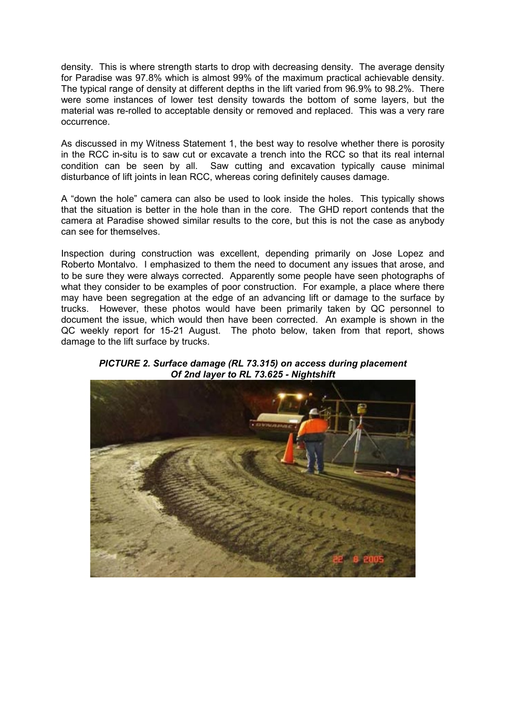density. This is where strength starts to drop with decreasing density. The average density for Paradise was 97.8% which is almost 99% of the maximum practical achievable density. The typical range of density at different depths in the lift varied from 96.9% to 98.2%. There were some instances of lower test density towards the bottom of some layers, but the material was re-rolled to acceptable density or removed and replaced. This was a very rare occurrence.

As discussed in my Witness Statement 1, the best way to resolve whether there is porosity in the RCC in-situ is to saw cut or excavate a trench into the RCC so that its real internal condition can be seen by all. Saw cutting and excavation typically cause minimal disturbance of lift joints in lean RCC, whereas coring definitely causes damage.

A "down the hole" camera can also be used to look inside the holes. This typically shows that the situation is better in the hole than in the core. The GHD report contends that the camera at Paradise showed similar results to the core, but this is not the case as anybody can see for themselves.

Inspection during construction was excellent, depending primarily on Jose Lopez and Roberto Montalvo. I emphasized to them the need to document any issues that arose, and to be sure they were always corrected. Apparently some people have seen photographs of what they consider to be examples of poor construction. For example, a place where there may have been segregation at the edge of an advancing lift or damage to the surface by trucks. However, these photos would have been primarily taken by QC personnel to document the issue, which would then have been corrected. An example is shown in the QC weekly report for 15-21 August. The photo below, taken from that report, shows damage to the lift surface by trucks.

*PICTURE 2. Surface damage (RL 73.315) on access during placement Of 2nd layer to RL 73.625 - Nightshift*

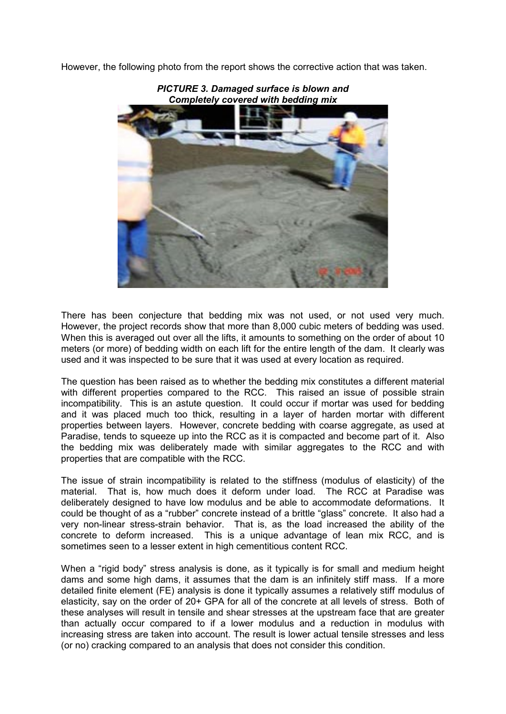However, the following photo from the report shows the corrective action that was taken.



*PICTURE 3. Damaged surface is blown and*

There has been conjecture that bedding mix was not used, or not used very much. However, the project records show that more than 8,000 cubic meters of bedding was used. When this is averaged out over all the lifts, it amounts to something on the order of about 10 meters (or more) of bedding width on each lift for the entire length of the dam. It clearly was used and it was inspected to be sure that it was used at every location as required.

The question has been raised as to whether the bedding mix constitutes a different material with different properties compared to the RCC. This raised an issue of possible strain incompatibility. This is an astute question. It could occur if mortar was used for bedding and it was placed much too thick, resulting in a layer of harden mortar with different properties between layers. However, concrete bedding with coarse aggregate, as used at Paradise, tends to squeeze up into the RCC as it is compacted and become part of it. Also the bedding mix was deliberately made with similar aggregates to the RCC and with properties that are compatible with the RCC.

The issue of strain incompatibility is related to the stiffness (modulus of elasticity) of the material. That is, how much does it deform under load. The RCC at Paradise was deliberately designed to have low modulus and be able to accommodate deformations. It could be thought of as a "rubber" concrete instead of a brittle "glass" concrete. It also had a very non-linear stress-strain behavior. That is, as the load increased the ability of the concrete to deform increased. This is a unique advantage of lean mix RCC, and is sometimes seen to a lesser extent in high cementitious content RCC.

When a "rigid body" stress analysis is done, as it typically is for small and medium height dams and some high dams, it assumes that the dam is an infinitely stiff mass. If a more detailed finite element (FE) analysis is done it typically assumes a relatively stiff modulus of elasticity, say on the order of 20+ GPA for all of the concrete at all levels of stress. Both of these analyses will result in tensile and shear stresses at the upstream face that are greater than actually occur compared to if a lower modulus and a reduction in modulus with increasing stress are taken into account. The result is lower actual tensile stresses and less (or no) cracking compared to an analysis that does not consider this condition.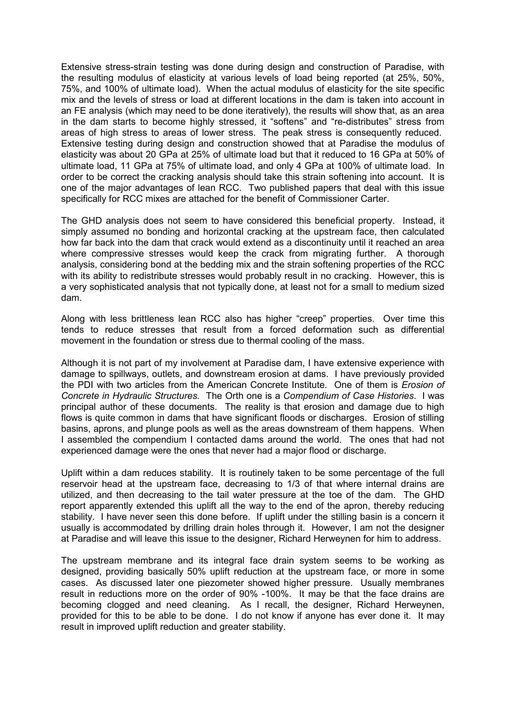Extensive stress-strain testing was done during design and construction of Paradise, with the resulting modulus of elasticity at various levels of load being reported (at 25%, 50%, 75%, and 100% of ultimate load). When the actual modulus of elasticity for the site specific mix and the levels of stress or load at different locations in the dam is taken into account in an FE analysis (which may need to be done iteratively), the results will show that, as an area in the dam starts to become highly stressed, it "softens" and "re-distributes" stress from areas of high stress to areas of lower stress. The peak stress is consequently reduced. Extensive testing during design and construction showed that at Paradise the modulus of elasticity was about 20 GPa at 25% of ultimate load but that it reduced to 16 GPa at 50% of ultimate load, 11 GPa at 75% of ultimate load, and only 4 GPa at 100% of ultimate load. In order to be correct the cracking analysis should take this strain softening into account. It is one of the major advantages of lean RCC. Two published papers that deal with this issue specifically for RCC mixes are attached for the benefit of Commissioner Carter.

The GHD analysis does not seem to have considered this beneficial property. Instead, it simply assumed no bonding and horizontal cracking at the upstream face, then calculated how far back into the dam that crack would extend as a discontinuity until it reached an area where compressive stresses would keep the crack from migrating further. A thorough analysis, considering bond at the bedding mix and the strain softening properties of the RCC with its ability to redistribute stresses would probably result in no cracking. However, this is a very sophisticated analysis that not typically done, at least not for a small to medium sized dam.

Along with less brittleness lean RCC also has higher "creep" properties. Over time this tends to reduce stresses that result from a forced deformation such as differential movement in the foundation or stress due to thermal cooling of the mass.

Although it is not part of my involvement at Paradise dam, I have extensive experience with damage to spillways, outlets, and downstream erosion at dams. I have previously provided the PDI with two articles from the American Concrete Institute. One of them is *Erosion of Concrete in Hydraulic Structures.* The Orth one is a *Compendium of Case Histories*. I was principal author of these documents. The reality is that erosion and damage due to high flows is quite common in dams that have significant floods or discharges. Erosion of stilling basins, aprons, and plunge pools as well as the areas downstream of them happens. When I assembled the compendium I contacted dams around the world. The ones that had not experienced damage were the ones that never had a major flood or discharge.

Uplift within a dam reduces stability. It is routinely taken to be some percentage of the full reservoir head at the upstream face, decreasing to 1/3 of that where internal drains are utilized, and then decreasing to the tail water pressure at the toe of the dam. The GHD report apparently extended this uplift all the way to the end of the apron, thereby reducing stability. I have never seen this done before. If uplift under the stilling basin is a concern it usually is accommodated by drilling drain holes through it. However, I am not the designer at Paradise and will leave this issue to the designer, Richard Herweynen for him to address.

The upstream membrane and its integral face drain system seems to be working as designed, providing basically 50% uplift reduction at the upstream face, or more in some cases. As discussed later one piezometer showed higher pressure. Usually membranes result in reductions more on the order of 90% -100%. It may be that the face drains are becoming clogged and need cleaning. As I recall, the designer, Richard Herweynen, provided for this to be able to be done. I do not know if anyone has ever done it. It may result in improved uplift reduction and greater stability.